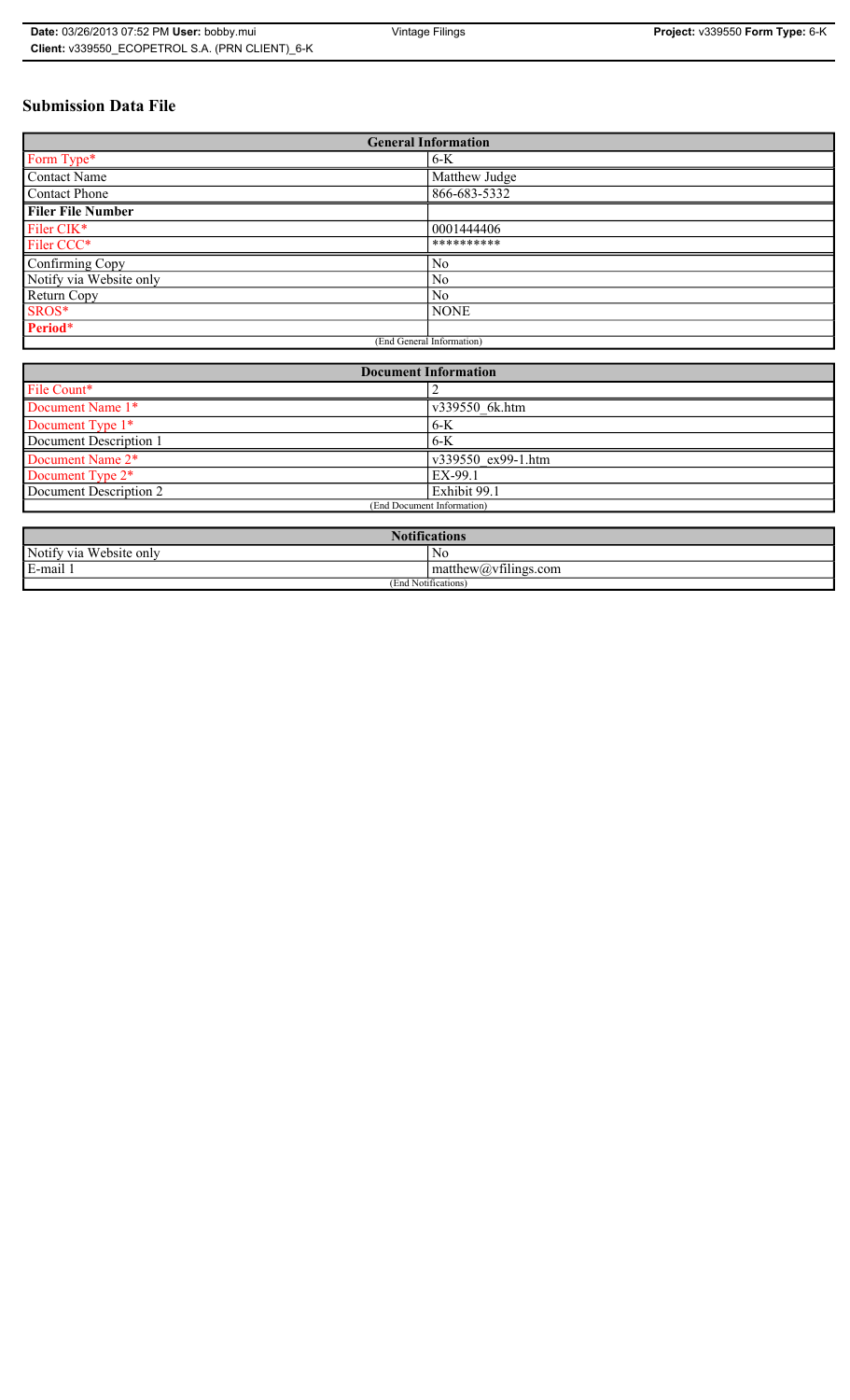# **Submission Data File**

| <b>General Information</b> |                |
|----------------------------|----------------|
| Form Type*                 | $6-K$          |
| Contact Name               | Matthew Judge  |
| <b>Contact Phone</b>       | 866-683-5332   |
| <b>Filer File Number</b>   |                |
| Filer CIK*                 | 0001444406     |
| Filer CCC*                 | **********     |
| Confirming Copy            | N <sub>0</sub> |
| Notify via Website only    | N <sub>0</sub> |
| Return Copy                | N <sub>0</sub> |
| SROS*                      | <b>NONE</b>    |
| Period*                    |                |
| (End General Information)  |                |

| <b>Document Information</b> |                    |
|-----------------------------|--------------------|
| File Count*                 |                    |
| Document Name 1*            | v339550 6k.htm     |
| Document Type 1*            | $6-K$              |
| Document Description 1      | $6-K$              |
| Document Name 2*            | v339550 ex99-1.htm |
| Document Type 2*            | EX-99.1            |
| Document Description 2      | Exhibit 99.1       |
| (End Document Information)  |                    |
|                             |                    |

| <b>Notifications</b>                                         |                                                                                  |
|--------------------------------------------------------------|----------------------------------------------------------------------------------|
| Website only<br>Notify via                                   | N0                                                                               |
| <b>The Contract Contract Contract</b><br>$\sim$<br>Le-mail L | $-$<br>$mathem{$ therew( <i>a</i> ) <sub>v</sub> $t$ $t$ $t$ $t$ $t$ $s$ $t$ $t$ |
| (End Notifications)                                          |                                                                                  |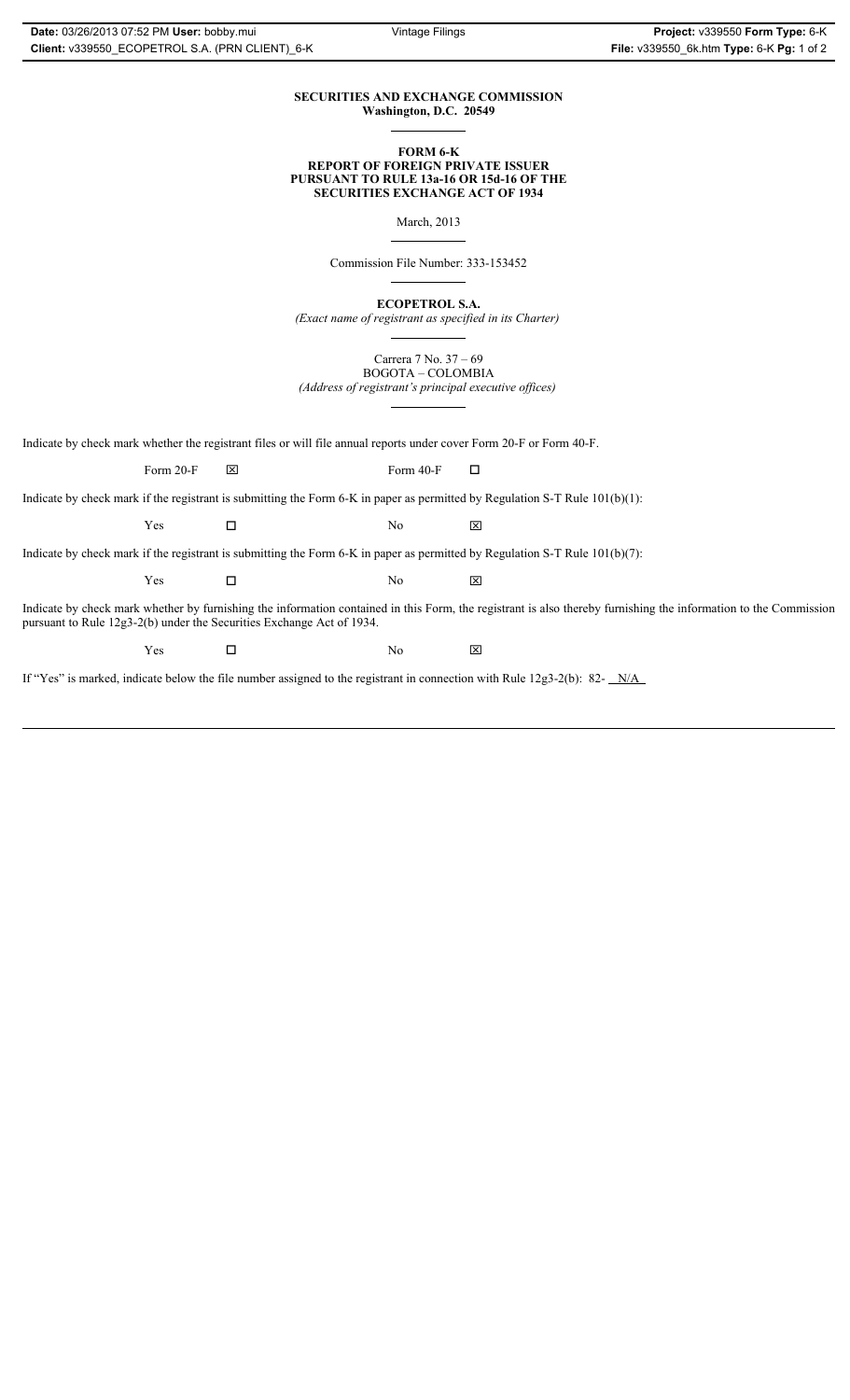## **SECURITIES AND EXCHANGE COMMISSION Washington, D.C. 20549**

### **FORM 6-K REPORT OF FOREIGN PRIVATE ISSUER PURSUANT TO RULE 13a-16 OR 15d-16 OF THE SECURITIES EXCHANGE ACT OF 1934**

March, 2013

Commission File Number: 333-153452

**ECOPETROL S.A.**

*(Exact name of registrant as specified in its Charter)*

Carrera 7 No. 37 – 69 BOGOTA – COLOMBIA

*(Address of registrant's principal executive offices)*

Indicate by check mark whether the registrant files or will file annual reports under cover Form 20-F or Form 40-F.

Form 20-F  $\boxtimes$  Form 40-F  $\Box$ 

Indicate by check mark if the registrant is submitting the Form 6-K in paper as permitted by Regulation S-T Rule 101(b)(1):

 $Yes$   $\Box$   $No$   $X$ 

Indicate by check mark if the registrant is submitting the Form 6-K in paper as permitted by Regulation S-T Rule 101(b)(7):

 $Yes$   $\Box$   $No$   $X$ 

Indicate by check mark whether by furnishing the information contained in this Form, the registrant is also thereby furnishing the information to the Commission pursuant to Rule 12g3-2(b) under the Securities Exchange Act of 1934.

 $Yes$   $\square$ 

If "Yes" is marked, indicate below the file number assigned to the registrant in connection with Rule 12g3-2(b): 82- N/A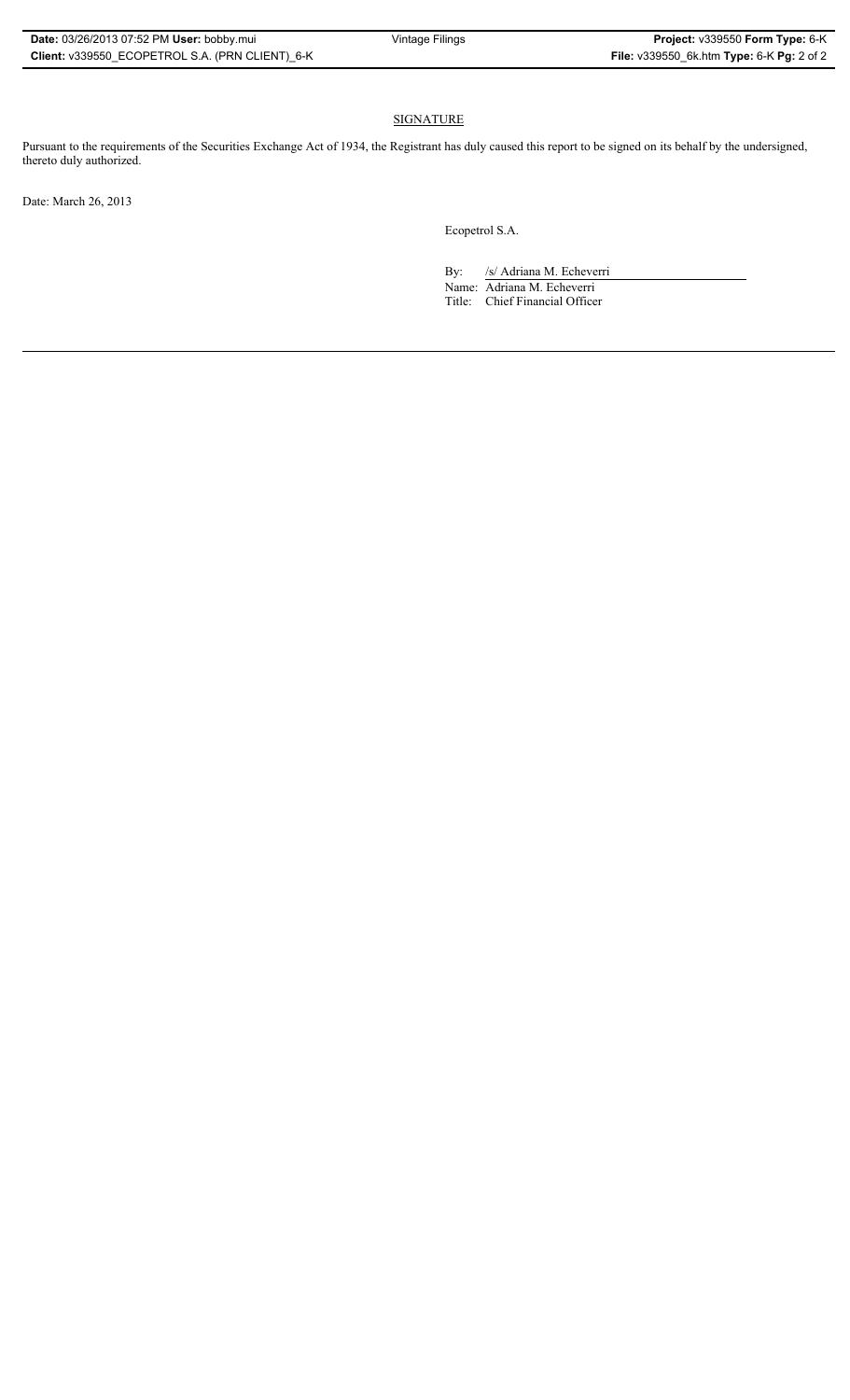# SIGNATURE

Pursuant to the requirements of the Securities Exchange Act of 1934, the Registrant has duly caused this report to be signed on its behalf by the undersigned, thereto duly authorized.

Date: March 26, 2013

Ecopetrol S.A.

By: /s/ Adriana M. Echeverri

Name: Adriana M. Echeverri Title: Chief Financial Officer